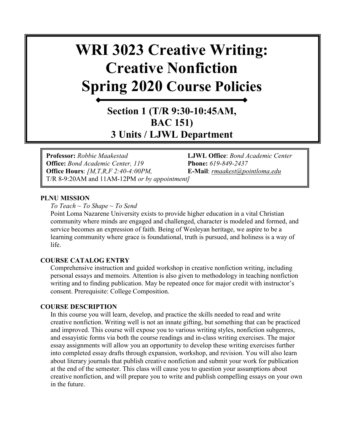# **WRI 3023 Creative Writing: Creative Nonfiction Spring 2020 Course Policies**

## **Section 1 (T/R 9:30-10:45AM, BAC 151) 3 Units / LJWL Department**

**Professor:** *Robbie Maakestad* **LJWL Office**: *Bond Academic Center*  **Office:** *Bond Academic Center, 119* **Phone:** *619-849-2437* **Office Hours**: *[M,T,R,F 2:40-4:00PM,* **E-Mail**: *[rmaakest@pointloma.edu](mailto:rmaakest@pointloma.edu)*  T/R 8-9:20AM and 11AM-12PM *or by appointment]*

#### **PLNU MISSION**

*To Teach ~ To Shape ~ To Send* 

Point Loma Nazarene University exists to provide higher education in a vital Christian community where minds are engaged and challenged, character is modeled and formed, and service becomes an expression of faith. Being of Wesleyan heritage, we aspire to be a learning community where grace is foundational, truth is pursued, and holiness is a way of life.

#### **COURSE CATALOG ENTRY**

Comprehensive instruction and guided workshop in creative nonfiction writing, including personal essays and memoirs. Attention is also given to methodology in teaching nonfiction writing and to finding publication. May be repeated once for major credit with instructor's consent. Prerequisite: College Composition.

#### **COURSE DESCRIPTION**

In this course you will learn, develop, and practice the skills needed to read and write creative nonfiction. Writing well is not an innate gifting, but something that can be practiced and improved. This course will expose you to various writing styles, nonfiction subgenres, and essayistic forms via both the course readings and in-class writing exercises. The major essay assignments will allow you an opportunity to develop these writing exercises further into completed essay drafts through expansion, workshop, and revision. You will also learn about literary journals that publish creative nonfiction and submit your work for publication at the end of the semester. This class will cause you to question your assumptions about creative nonfiction, and will prepare you to write and publish compelling essays on your own in the future.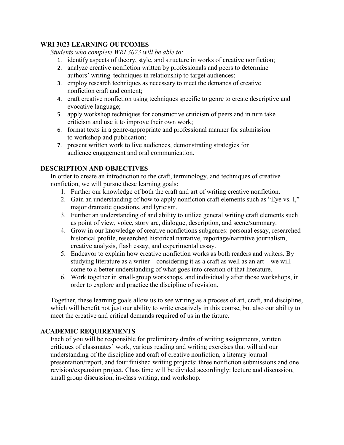## **WRI 3023 LEARNING OUTCOMES**

*Students who complete WRI 3023 will be able to:* 

- 1. identify aspects of theory, style, and structure in works of creative nonfiction;
- 2. analyze creative nonfiction written by professionals and peers to determine authors' writing techniques in relationship to target audiences;
- 3. employ research techniques as necessary to meet the demands of creative nonfiction craft and content;
- 4. craft creative nonfiction using techniques specific to genre to create descriptive and evocative language;
- 5. apply workshop techniques for constructive criticism of peers and in turn take criticism and use it to improve their own work;
- 6. format texts in a genre-appropriate and professional manner for submission to workshop and publication;
- 7. present written work to live audiences, demonstrating strategies for audience engagement and oral communication.

## **DESCRIPTION AND OBJECTIVES**

In order to create an introduction to the craft, terminology, and techniques of creative nonfiction, we will pursue these learning goals:

- 1. Further our knowledge of both the craft and art of writing creative nonfiction.
- 2. Gain an understanding of how to apply nonfiction craft elements such as "Eye vs. I," major dramatic questions, and lyricism.
- 3. Further an understanding of and ability to utilize general writing craft elements such as point of view, voice, story arc, dialogue, description, and scene/summary.
- 4. Grow in our knowledge of creative nonfictions subgenres: personal essay, researched historical profile, researched historical narrative, reportage/narrative journalism, creative analysis, flash essay, and experimental essay.
- 5. Endeavor to explain how creative nonfiction works as both readers and writers. By studying literature as a writer—considering it as a craft as well as an art—we will come to a better understanding of what goes into creation of that literature.
- 6. Work together in small-group workshops, and individually after those workshops, in order to explore and practice the discipline of revision.

Together, these learning goals allow us to see writing as a process of art, craft, and discipline, which will benefit not just our ability to write creatively in this course, but also our ability to meet the creative and critical demands required of us in the future.

## **ACADEMIC REQUIREMENTS**

Each of you will be responsible for preliminary drafts of writing assignments, written critiques of classmates' work, various reading and writing exercises that will aid our understanding of the discipline and craft of creative nonfiction, a literary journal presentation/report, and four finished writing projects: three nonfiction submissions and one revision/expansion project. Class time will be divided accordingly: lecture and discussion, small group discussion, in-class writing, and workshop.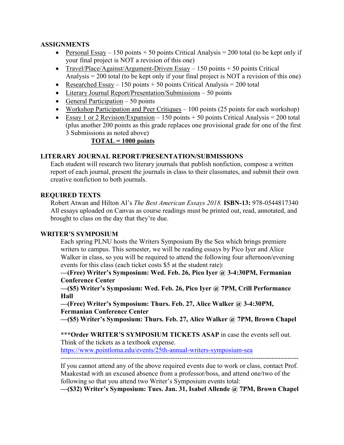## **ASSIGNMENTS**

- Personal Essay 150 points + 50 points Critical Analysis = 200 total (to be kept only if your final project is NOT a revision of this one)
- Travel/Place/Against/Argument-Driven Essay 150 points + 50 points Critical Analysis = 200 total (to be kept only if your final project is NOT a revision of this one)
- Researched Essay 150 points + 50 points Critical Analysis = 200 total
- Literary Journal Report/Presentation/Submissions 50 points
- General Participation  $-50$  points
- Workshop Participation and Peer Critiques  $-100$  points (25 points for each workshop)
- Essay 1 or 2 Revision/Expansion  $-150$  points  $+50$  points Critical Analysis  $= 200$  total (plus another 200 points as this grade replaces one provisional grade for one of the first 3 Submissions as noted above)

## **TOTAL = 1000 points**

## **LITERARY JOURNAL REPORT/PRESENTATION/SUBMISSIONS**

Each student will research two literary journals that publish nonfiction, compose a written report of each journal, present the journals in class to their classmates, and submit their own creative nonfiction to both journals.

## **REQUIRED TEXTS**

Robert Atwan and Hilton Al's *The Best American Essays 2018.* **ISBN-13:** 978-0544817340 All essays uploaded on Canvas as course readings must be printed out, read, annotated, and brought to class on the day that they're due.

## **WRITER'S SYMPOSIUM**

Each spring PLNU hosts the Writers Symposium By the Sea which brings premiere writers to campus. This semester, we will be reading essays by Pico Iyer and Alice Walker in class, so you will be required to attend the following four afternoon/evening events for this class (each ticket costs \$5 at the student rate):

**—(Free) Writer's Symposium: Wed. Feb. 26, Pico Iyer @ 3-4:30PM, Fermanian Conference Center**

**—(\$5) Writer's Symposium: Wed. Feb. 26, Pico Iyer @ 7PM, Crill Performance Hall**

**—(Free) Writer's Symposium: Thurs. Feb. 27, Alice Walker @ 3-4:30PM, Fermanian Conference Center**

**—(\$5) Writer's Symposium: Thurs. Feb. 27, Alice Walker @ 7PM, Brown Chapel**

**\*\*\*Order WRITER'S SYMPOSIUM TICKETS ASAP** in case the events sell out. Think of the tickets as a textbook expense. <https://www.pointloma.edu/events/25th-annual-writers-symposium-sea> ----------------------------------------------------------------------------------------------------------

If you cannot attend any of the above required events due to work or class, contact Prof. Maakestad with an excused absence from a professor/boss, and attend one/two of the following so that you attend two Writer's Symposium events total:

**—(\$32) Writer's Symposium: Tues. Jan. 31, Isabel Allende @ 7PM, Brown Chapel**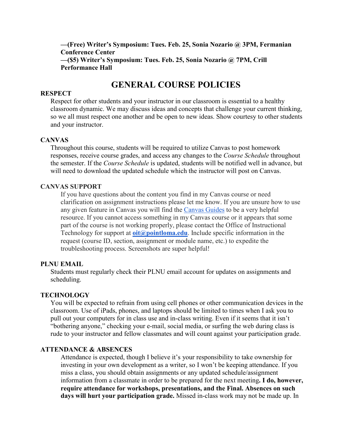**—(Free) Writer's Symposium: Tues. Feb. 25, Sonia Nozario @ 3PM, Fermanian Conference Center —(\$5) Writer's Symposium: Tues. Feb. 25, Sonia Nozario @ 7PM, Crill Performance Hall**

## **GENERAL COURSE POLICIES**

#### **RESPECT**

Respect for other students and your instructor in our classroom is essential to a healthy classroom dynamic. We may discuss ideas and concepts that challenge your current thinking, so we all must respect one another and be open to new ideas. Show courtesy to other students and your instructor.

#### **CANVAS**

Throughout this course, students will be required to utilize Canvas to post homework responses, receive course grades, and access any changes to the *Course Schedule* throughout the semester. If the *Course Schedule* is updated, students will be notified well in advance, but will need to download the updated schedule which the instructor will post on Canvas.

## **CANVAS SUPPORT**

If you have questions about the content you find in my Canvas course or need clarification on assignment instructions please let me know. If you are unsure how to use any given feature in Canvas you will find the [Canvas Guides](https://community.canvaslms.com/community/answers/guides/) to be a very helpful resource. If you cannot access something in my Canvas course or it appears that some part of the course is not working properly, please contact the Office of Instructional Technology for support at **[oit@pointloma.edu](mailto:oit@pointloma.edu)**. Include specific information in the request (course ID, section, assignment or module name, etc.) to expedite the troubleshooting process. Screenshots are super helpful!

#### **PLNU EMAIL**

Students must regularly check their PLNU email account for updates on assignments and scheduling.

#### **TECHNOLOGY**

You will be expected to refrain from using cell phones or other communication devices in the classroom. Use of iPads, phones, and laptops should be limited to times when I ask you to pull out your computers for in class use and in-class writing. Even if it seems that it isn't "bothering anyone," checking your e-mail, social media, or surfing the web during class is rude to your instructor and fellow classmates and will count against your participation grade.

#### **ATTENDANCE & ABSENCES**

Attendance is expected, though I believe it's your responsibility to take ownership for investing in your own development as a writer, so I won't be keeping attendance. If you miss a class, you should obtain assignments or any updated schedule/assignment information from a classmate in order to be prepared for the next meeting**. I do, however, require attendance for workshops, presentations, and the Final. Absences on such days will hurt your participation grade.** Missed in-class work may not be made up. In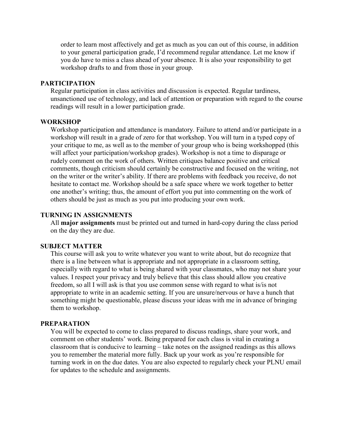order to learn most affectively and get as much as you can out of this course, in addition to your general participation grade, I'd recommend regular attendance. Let me know if you do have to miss a class ahead of your absence. It is also your responsibility to get workshop drafts to and from those in your group.

## **PARTICIPATION**

Regular participation in class activities and discussion is expected. Regular tardiness, unsanctioned use of technology, and lack of attention or preparation with regard to the course readings will result in a lower participation grade.

#### **WORKSHOP**

Workshop participation and attendance is mandatory. Failure to attend and/or participate in a workshop will result in a grade of zero for that workshop. You will turn in a typed copy of your critique to me, as well as to the member of your group who is being workshopped (this will affect your participation/workshop grades). Workshop is not a time to disparage or rudely comment on the work of others. Written critiques balance positive and critical comments, though criticism should certainly be constructive and focused on the writing, not on the writer or the writer's ability. If there are problems with feedback you receive, do not hesitate to contact me. Workshop should be a safe space where we work together to better one another's writing; thus, the amount of effort you put into commenting on the work of others should be just as much as you put into producing your own work.

#### **TURNING IN ASSIGNMENTS**

All **major assignments** must be printed out and turned in hard-copy during the class period on the day they are due.

#### **SUBJECT MATTER**

This course will ask you to write whatever you want to write about, but do recognize that there is a line between what is appropriate and not appropriate in a classroom setting, especially with regard to what is being shared with your classmates, who may not share your values. I respect your privacy and truly believe that this class should allow you creative freedom, so all I will ask is that you use common sense with regard to what is/is not appropriate to write in an academic setting. If you are unsure/nervous or have a hunch that something might be questionable, please discuss your ideas with me in advance of bringing them to workshop.

#### **PREPARATION**

You will be expected to come to class prepared to discuss readings, share your work, and comment on other students' work. Being prepared for each class is vital in creating a classroom that is conducive to learning – take notes on the assigned readings as this allows you to remember the material more fully. Back up your work as you're responsible for turning work in on the due dates. You are also expected to regularly check your PLNU email for updates to the schedule and assignments.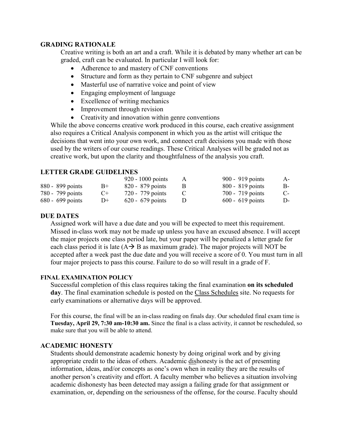#### **GRADING RATIONALE**

Creative writing is both an art and a craft. While it is debated by many whether art can be graded, craft can be evaluated. In particular I will look for:

- Adherence to and mastery of CNF conventions
- Structure and form as they pertain to CNF subgenre and subject
- Masterful use of narrative voice and point of view
- Engaging employment of language
- Excellence of writing mechanics
- Improvement through revision
- Creativity and innovation within genre conventions

While the above concerns creative work produced in this course, each creative assignment also requires a Critical Analysis component in which you as the artist will critique the decisions that went into your own work, and connect craft decisions you made with those used by the writers of our course readings. These Critical Analyses will be graded not as creative work, but upon the clarity and thoughtfulness of the analysis you craft.

## **LETTER GRADE GUIDELINES**

|                    |      | $920 - 1000$ points | $\mathsf{A}$ | 900 - 919 points   | $A-$ |
|--------------------|------|---------------------|--------------|--------------------|------|
| 880 - 899 points   | $B+$ | $820 - 879$ points  |              | $800 - 819$ points | B-   |
| 780 - 799 points   | $C+$ | 720 - 779 points    |              | $700 - 719$ points | $C-$ |
| $680 - 699$ points | $D+$ | $620 - 679$ points  |              | $600 - 619$ points | D-   |

## **DUE DATES**

Assigned work will have a due date and you will be expected to meet this requirement. Missed in-class work may not be made up unless you have an excused absence. I will accept the major projects one class period late, but your paper will be penalized a letter grade for each class period it is late  $(A \rightarrow B$  as maximum grade). The major projects will NOT be accepted after a week past the due date and you will receive a score of 0. You must turn in all four major projects to pass this course. Failure to do so will result in a grade of F.

## **FINAL EXAMINATION POLICY**

Successful completion of this class requires taking the final examination **on its scheduled day**. The final examination schedule is posted on the [Class Schedules](http://www.pointloma.edu/experience/academics/class-schedules) site. No requests for early examinations or alternative days will be approved.

For this course, the final will be an in-class reading on finals day. Our scheduled final exam time is **Tuesday, April 29, 7:30 am-10:30 am.** Since the final is a class activity, it cannot be rescheduled, so make sure that you will be able to attend.

## **ACADEMIC HONESTY**

Students should demonstrate academic honesty by doing original work and by giving appropriate credit to the ideas of others. Academic dishonesty is the act of presenting information, ideas, and/or concepts as one's own when in reality they are the results of another person's creativity and effort. A faculty member who believes a situation involving academic dishonesty has been detected may assign a failing grade for that assignment or examination, or, depending on the seriousness of the offense, for the course. Faculty should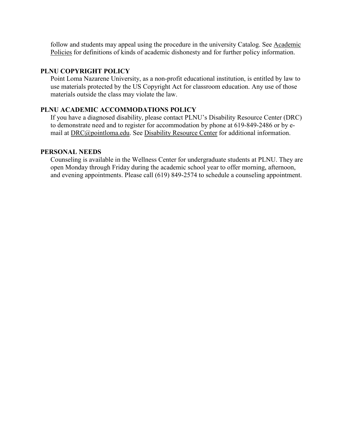follow and students may appeal using the procedure in the university Catalog. See Academic [Policies](http://catalog.pointloma.edu/content.php?catoid=18&navoid=1278) for definitions of kinds of academic dishonesty and for further policy information.

## **PLNU COPYRIGHT POLICY**

Point Loma Nazarene University, as a non-profit educational institution, is entitled by law to use materials protected by the US Copyright Act for classroom education. Any use of those materials outside the class may violate the law.

## **PLNU ACADEMIC ACCOMMODATIONS POLICY**

If you have a diagnosed disability, please contact PLNU's Disability Resource Center (DRC) to demonstrate need and to register for accommodation by phone at 619-849-2486 or by email at [DRC@pointloma.edu.](mailto:DRC@pointloma.edu) See [Disability Resource Center](http://www.pointloma.edu/experience/offices/administrative-offices/academic-advising-office/disability-resource-center) for additional information.

#### **PERSONAL NEEDS**

Counseling is available in the Wellness Center for undergraduate students at PLNU. They are open Monday through Friday during the academic school year to offer morning, afternoon, and evening appointments. Please call (619) 849-2574 to schedule a counseling appointment.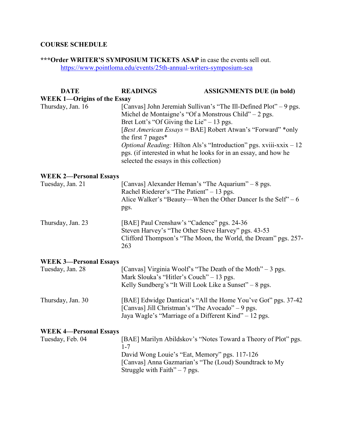## **COURSE SCHEDULE**

**\*\*\*Order WRITER'S SYMPOSIUM TICKETS ASAP** in case the events sell out. <https://www.pointloma.edu/events/25th-annual-writers-symposium-sea>

| <b>DATE</b>                        | <b>READINGS</b>                                                                                                                                                       | <b>ASSIGNMENTS DUE (in bold)</b>                                                                                                                                                                                                                                                   |
|------------------------------------|-----------------------------------------------------------------------------------------------------------------------------------------------------------------------|------------------------------------------------------------------------------------------------------------------------------------------------------------------------------------------------------------------------------------------------------------------------------------|
| <b>WEEK 1-Origins of the Essay</b> |                                                                                                                                                                       |                                                                                                                                                                                                                                                                                    |
| Thursday, Jan. 16                  | Michel de Montaigne's "Of a Monstrous Child" $-2$ pgs.<br>Bret Lott's "Of Giving the Lie" $-13$ pgs.<br>the first 7 pages*<br>selected the essays in this collection) | [Canvas] John Jeremiah Sullivan's "The Ill-Defined Plot" - 9 pgs.<br>[Best American Essays = BAE] Robert Atwan's "Forward" *only<br><i>Optional Reading:</i> Hilton Als's "Introduction" pgs. xviii-xxix $-12$<br>pgs. (if interested in what he looks for in an essay, and how he |
| <b>WEEK 2-Personal Essays</b>      |                                                                                                                                                                       |                                                                                                                                                                                                                                                                                    |
| Tuesday, Jan. 21                   | [Canvas] Alexander Heman's "The Aquarium" – 8 pgs.<br>Rachel Riederer's "The Patient" - 13 pgs.<br>pgs.                                                               | Alice Walker's "Beauty—When the Other Dancer Is the Self" $-6$                                                                                                                                                                                                                     |
| Thursday, Jan. 23                  | [BAE] Paul Crenshaw's "Cadence" pgs. 24-36<br>Steven Harvey's "The Other Steve Harvey" pgs. 43-53<br>263                                                              | Clifford Thompson's "The Moon, the World, the Dream" pgs. 257-                                                                                                                                                                                                                     |
| <b>WEEK 3-Personal Essays</b>      |                                                                                                                                                                       |                                                                                                                                                                                                                                                                                    |
| Tuesday, Jan. 28                   | Mark Slouka's "Hitler's Couch" – 13 pgs.<br>Kelly Sundberg's "It Will Look Like a Sunset" $-8$ pgs.                                                                   | [Canvas] Virginia Woolf's "The Death of the Moth" - 3 pgs.                                                                                                                                                                                                                         |
| Thursday, Jan. 30                  | [Canvas] Jill Christman's "The Avocado" - 9 pgs.<br>Jaya Wagle's "Marriage of a Different Kind" - 12 pgs.                                                             | [BAE] Edwidge Danticat's "All the Home You've Got" pgs. 37-42                                                                                                                                                                                                                      |
| <b>WEEK 4-Personal Essays</b>      |                                                                                                                                                                       |                                                                                                                                                                                                                                                                                    |
| Tuesday, Feb. 04                   | $1 - 7$<br>David Wong Louie's "Eat, Memory" pgs. 117-126<br>[Canvas] Anna Gazmarian's "The (Loud) Soundtrack to My<br>Struggle with Faith" $-7$ pgs.                  | [BAE] Marilyn Abildskov's "Notes Toward a Theory of Plot" pgs.                                                                                                                                                                                                                     |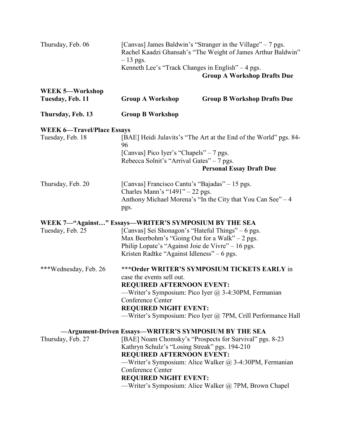| Thursday, Feb. 06                                                         | [Canvas] James Baldwin's "Stranger in the Village" – 7 pgs.<br>Rachel Kaadzi Ghansah's "The Weight of James Arthur Baldwin"<br>$-13$ pgs.                                                                                                                                                  |                                                                                                                                                                             |
|---------------------------------------------------------------------------|--------------------------------------------------------------------------------------------------------------------------------------------------------------------------------------------------------------------------------------------------------------------------------------------|-----------------------------------------------------------------------------------------------------------------------------------------------------------------------------|
|                                                                           | Kenneth Lee's "Track Changes in English" - 4 pgs.                                                                                                                                                                                                                                          | <b>Group A Workshop Drafts Due</b>                                                                                                                                          |
| WEEK 5-Workshop<br>Tuesday, Feb. 11                                       | <b>Group A Workshop</b>                                                                                                                                                                                                                                                                    | <b>Group B Workshop Drafts Due</b>                                                                                                                                          |
| Thursday, Feb. 13                                                         | <b>Group B Workshop</b>                                                                                                                                                                                                                                                                    |                                                                                                                                                                             |
| <b>WEEK 6-Travel/Place Essays</b>                                         |                                                                                                                                                                                                                                                                                            |                                                                                                                                                                             |
| Tuesday, Feb. 18                                                          | 96                                                                                                                                                                                                                                                                                         | [BAE] Heidi Julavits's "The Art at the End of the World" pgs. 84-                                                                                                           |
|                                                                           | [Canvas] Pico Iyer's "Chapels" – 7 pgs.<br>Rebecca Solnit's "Arrival Gates" – 7 pgs.                                                                                                                                                                                                       |                                                                                                                                                                             |
|                                                                           |                                                                                                                                                                                                                                                                                            | <b>Personal Essay Draft Due</b>                                                                                                                                             |
| Thursday, Feb. 20                                                         | [Canvas] Francisco Cantu's "Bajadas" – 15 pgs.<br>Charles Mann's " $1491" - 22$ pgs.<br>pgs.                                                                                                                                                                                               | Anthony Michael Morena's "In the City that You Can See" - 4                                                                                                                 |
| WEEK 7—"Against" Essays—WRITER'S SYMPOSIUM BY THE SEA<br>Tuesday, Feb. 25 | [Canvas] Sei Shonagon's "Hateful Things" – 6 pgs.<br>Max Beerbohm's "Going Out for a Walk" $-2$ pgs.<br>Philip Lopate's "Against Joie de Vivre" - 16 pgs.<br>Kristen Radtke "Against Idleness" – 6 pgs.                                                                                    |                                                                                                                                                                             |
| ***Wednesday, Feb. 26                                                     | ***Order WRITER'S SYMPOSIUM TICKETS EARLY in<br>case the events sell out.<br><b>REQUIRED AFTERNOON EVENT:</b><br>—Writer's Symposium: Pico Iyer @ 3-4:30PM, Fermanian<br>Conference Center<br><b>REQUIRED NIGHT EVENT:</b><br>-Writer's Symposium: Pico Iyer @ 7PM, Crill Performance Hall |                                                                                                                                                                             |
| Thursday, Feb. 27                                                         | —Argument-Driven Essays—WRITER'S SYMPOSIUM BY THE SEA<br>Kathryn Schulz's "Losing Streak" pgs. 194-210<br><b>REQUIRED AFTERNOON EVENT:</b><br>Conference Center<br><b>REQUIRED NIGHT EVENT:</b>                                                                                            | [BAE] Noam Chomsky's "Prospects for Survival" pgs. 8-23<br>—Writer's Symposium: Alice Walker @ 3-4:30PM, Fermanian<br>—Writer's Symposium: Alice Walker @ 7PM, Brown Chapel |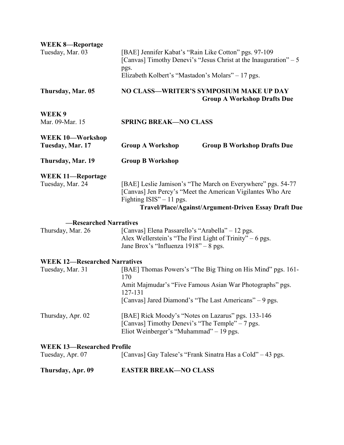| <b>WEEK 8-Reportage</b><br>Tuesday, Mar. 03              | [BAE] Jennifer Kabat's "Rain Like Cotton" pgs. 97-109<br>[Canvas] Timothy Denevi's "Jesus Christ at the Inauguration" – 5<br>pgs.                     |                                                                                                                                                                                   |  |
|----------------------------------------------------------|-------------------------------------------------------------------------------------------------------------------------------------------------------|-----------------------------------------------------------------------------------------------------------------------------------------------------------------------------------|--|
| Thursday, Mar. 05                                        | Elizabeth Kolbert's "Mastadon's Molars" – 17 pgs.<br>NO CLASS-WRITER'S SYMPOSIUM MAKE UP DAY<br><b>Group A Workshop Drafts Due</b>                    |                                                                                                                                                                                   |  |
| WEEK9<br>Mar. 09-Mar. 15                                 | <b>SPRING BREAK-NO CLASS</b>                                                                                                                          |                                                                                                                                                                                   |  |
| WEEK 10-Workshop<br>Tuesday, Mar. 17                     | <b>Group A Workshop</b>                                                                                                                               | <b>Group B Workshop Drafts Due</b>                                                                                                                                                |  |
| Thursday, Mar. 19                                        | <b>Group B Workshop</b>                                                                                                                               |                                                                                                                                                                                   |  |
| <b>WEEK 11-Reportage</b><br>Tuesday, Mar. 24             | Fighting ISIS" $-11$ pgs.                                                                                                                             | [BAE] Leslie Jamison's "The March on Everywhere" pgs. 54-77<br>[Canvas] Jen Percy's "Meet the American Vigilantes Who Are<br>Travel/Place/Against/Argument-Driven Essay Draft Due |  |
| -Researched Narratives<br>Thursday, Mar. 26              | [Canvas] Elena Passarello's "Arabella" – 12 pgs.<br>Alex Wellerstein's "The First Light of Trinity" – 6 pgs.<br>Jane Brox's "Influenza 1918" – 8 pgs. |                                                                                                                                                                                   |  |
| <b>WEEK 12-Researched Narratives</b><br>Tuesday, Mar. 31 | 170<br>127-131                                                                                                                                        | [BAE] Thomas Powers's "The Big Thing on His Mind" pgs. 161-<br>Amit Majmudar's "Five Famous Asian War Photographs" pgs.<br>[Canvas] Jared Diamond's "The Last Americans" – 9 pgs. |  |
| Thursday, Apr. 02                                        | [BAE] Rick Moody's "Notes on Lazarus" pgs. 133-146<br>[Canvas] Timothy Denevi's "The Temple" – 7 pgs.<br>Eliot Weinberger's "Muhammad" – 19 pgs.      |                                                                                                                                                                                   |  |
| <b>WEEK 13-Researched Profile</b><br>Tuesday, Apr. 07    |                                                                                                                                                       | [Canvas] Gay Talese's "Frank Sinatra Has a Cold" – 43 pgs.                                                                                                                        |  |
| Thursday, Apr. 09                                        | <b>EASTER BREAK-NO CLASS</b>                                                                                                                          |                                                                                                                                                                                   |  |